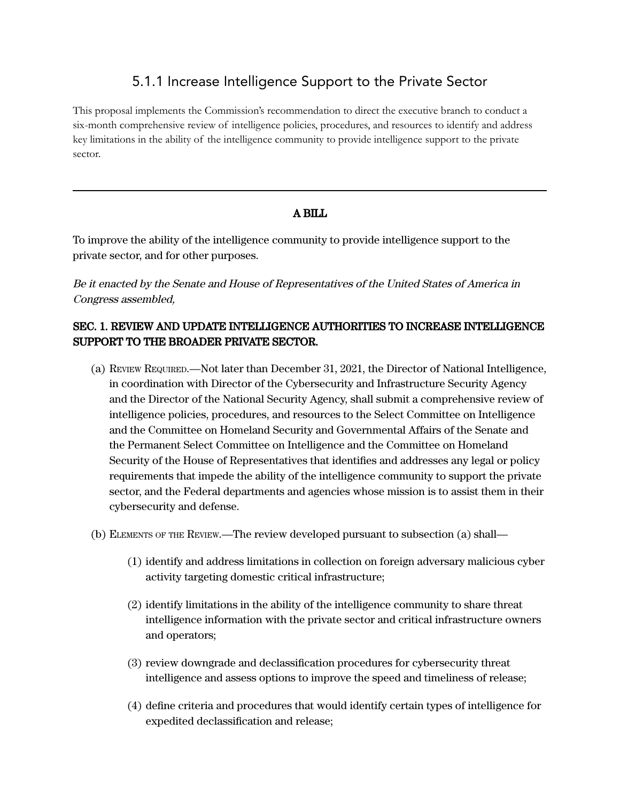## 5.1.1 Increase Intelligence Support to the Private Sector

This proposal implements the Commission's recommendation to direct the executive branch to conduct a six-month comprehensive review of intelligence policies, procedures, and resources to identify and address key limitations in the ability of the intelligence community to provide intelligence support to the private sector.

## A BILL

To improve the ability of the intelligence community to provide intelligence support to the private sector, and for other purposes.

Be it enacted by the Senate and House of Representatives of the United States of America in Congress assembled,

## SEC. 1. REVIEW AND UPDATE INTELLIGENCE AUTHORITIES TO INCREASE INTELLIGENCE SUPPORT TO THE BROADER PRIVATE SECTOR.

- (a) REVIEW REQUIRED.—Not later than December 31, 2021, the Director of National Intelligence, in coordination with Director of the Cybersecurity and Infrastructure Security Agency and the Director of the National Security Agency, shall submit a comprehensive review of intelligence policies, procedures, and resources to the Select Committee on Intelligence and the Committee on Homeland Security and Governmental Affairs of the Senate and the Permanent Select Committee on Intelligence and the Committee on Homeland Security of the House of Representatives that identifies and addresses any legal or policy requirements that impede the ability of the intelligence community to support the private sector, and the Federal departments and agencies whose mission is to assist them in their cybersecurity and defense.
- (b) ELEMENTS OF THE REVIEW.—The review developed pursuant to subsection (a) shall—
	- (1) identify and address limitations in collection on foreign adversary malicious cyber activity targeting domestic critical infrastructure;
	- (2) identify limitations in the ability of the intelligence community to share threat intelligence information with the private sector and critical infrastructure owners and operators;
	- (3) review downgrade and declassification procedures for cybersecurity threat intelligence and assess options to improve the speed and timeliness of release;
	- (4) define criteria and procedures that would identify certain types of intelligence for expedited declassification and release;